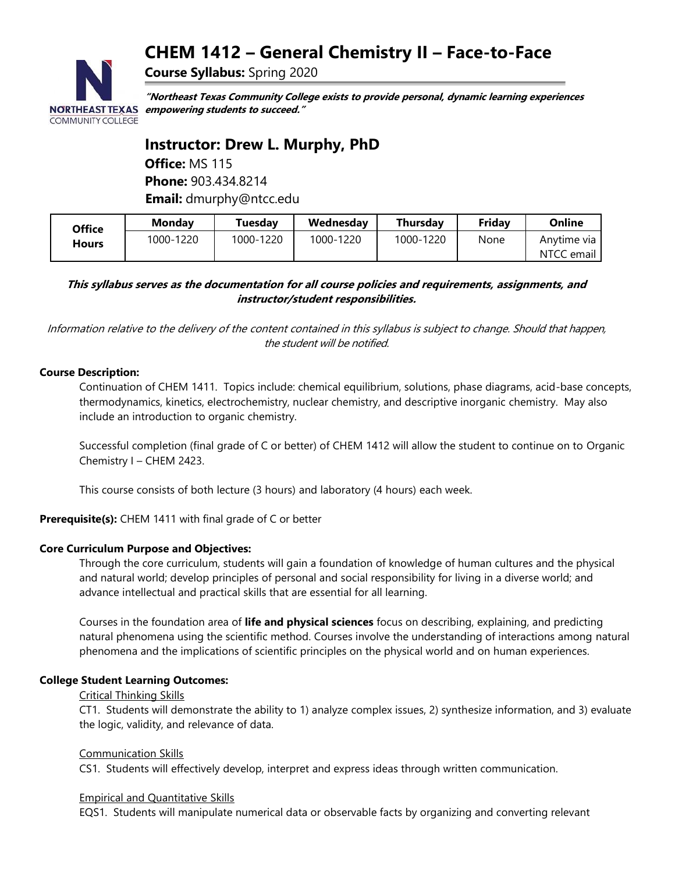# **CHEM 1412 – General Chemistry II – Face-to-Face**



**"Northeast Texas Community College exists to provide personal, dynamic learning experiences empowering students to succeed."**

## **Instructor: Drew L. Murphy, PhD**

**Office:** MS 115 **Phone:** 903.434.8214 **Email:** dmurphy@ntcc.edu

**Course Syllabus:** Spring 2020

| Office | Mondav    | Tuesdav   | Wednesday | Thursday  | Friday | Online                        |
|--------|-----------|-----------|-----------|-----------|--------|-------------------------------|
| Hours  | 1000-1220 | 1000-1220 | 1000-1220 | 1000-1220 | None   | Anvtime via I<br>NTCC email I |

**This syllabus serves as the documentation for all course policies and requirements, assignments, and instructor/student responsibilities.**

Information relative to the delivery of the content contained in this syllabus is subject to change. Should that happen, the student will be notified.

## **Course Description:**

Continuation of CHEM 1411. Topics include: chemical equilibrium, solutions, phase diagrams, acid-base concepts, thermodynamics, kinetics, electrochemistry, nuclear chemistry, and descriptive inorganic chemistry. May also include an introduction to organic chemistry.

Successful completion (final grade of C or better) of CHEM 1412 will allow the student to continue on to Organic Chemistry I – CHEM 2423.

This course consists of both lecture (3 hours) and laboratory (4 hours) each week.

**Prerequisite(s):** CHEM 1411 with final grade of C or better

#### **Core Curriculum Purpose and Objectives:**

Through the core curriculum, students will gain a foundation of knowledge of human cultures and the physical and natural world; develop principles of personal and social responsibility for living in a diverse world; and advance intellectual and practical skills that are essential for all learning.

Courses in the foundation area of **life and physical sciences** focus on describing, explaining, and predicting natural phenomena using the scientific method. Courses involve the understanding of interactions among natural phenomena and the implications of scientific principles on the physical world and on human experiences.

#### **College Student Learning Outcomes:**

#### Critical Thinking Skills

CT1. Students will demonstrate the ability to 1) analyze complex issues, 2) synthesize information, and 3) evaluate the logic, validity, and relevance of data.

#### Communication Skills

CS1. Students will effectively develop, interpret and express ideas through written communication.

## Empirical and Quantitative Skills

EQS1. Students will manipulate numerical data or observable facts by organizing and converting relevant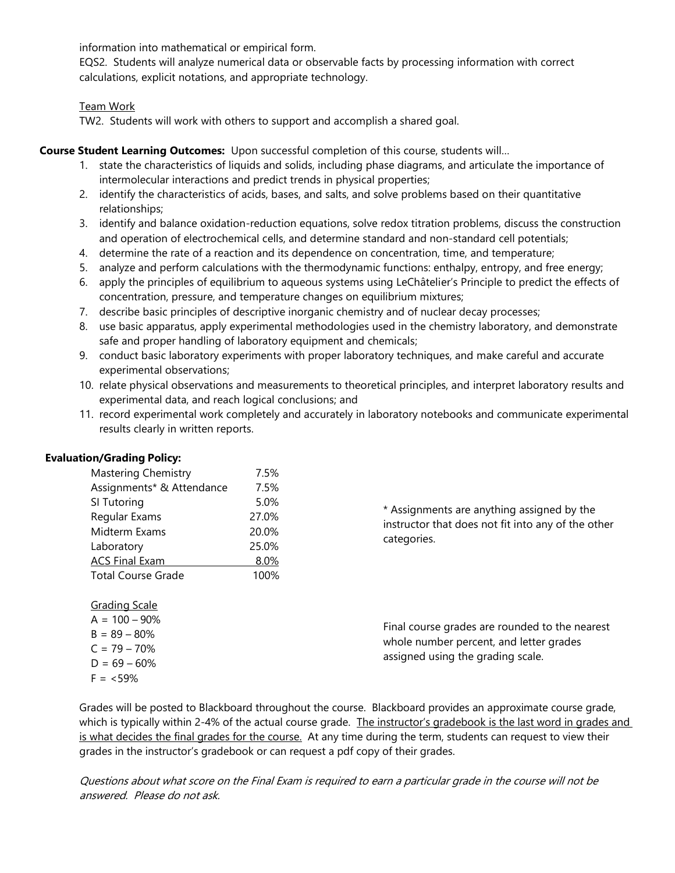information into mathematical or empirical form.

EQS2. Students will analyze numerical data or observable facts by processing information with correct calculations, explicit notations, and appropriate technology.

## Team Work

TW2. Students will work with others to support and accomplish a shared goal.

## **Course Student Learning Outcomes:** Upon successful completion of this course, students will…

- 1. state the characteristics of liquids and solids, including phase diagrams, and articulate the importance of intermolecular interactions and predict trends in physical properties;
- 2. identify the characteristics of acids, bases, and salts, and solve problems based on their quantitative relationships;
- 3. identify and balance oxidation-reduction equations, solve redox titration problems, discuss the construction and operation of electrochemical cells, and determine standard and non‐standard cell potentials;
- 4. determine the rate of a reaction and its dependence on concentration, time, and temperature;
- 5. analyze and perform calculations with the thermodynamic functions: enthalpy, entropy, and free energy;
- 6. apply the principles of equilibrium to aqueous systems using LeChâtelier's Principle to predict the effects of concentration, pressure, and temperature changes on equilibrium mixtures;
- 7. describe basic principles of descriptive inorganic chemistry and of nuclear decay processes;
- 8. use basic apparatus, apply experimental methodologies used in the chemistry laboratory, and demonstrate safe and proper handling of laboratory equipment and chemicals;
- 9. conduct basic laboratory experiments with proper laboratory techniques, and make careful and accurate experimental observations;
- 10. relate physical observations and measurements to theoretical principles, and interpret laboratory results and experimental data, and reach logical conclusions; and
- 11. record experimental work completely and accurately in laboratory notebooks and communicate experimental results clearly in written reports.

| <b>Mastering Chemistry</b> | 7.5%  |
|----------------------------|-------|
| Assignments* & Attendance  | 7.5%  |
| SI Tutoring                | 5.0%  |
| Regular Exams              | 27.0% |
| Midterm Exams              | 20.0% |
| Laboratory                 | 25.0% |
| <b>ACS Final Exam</b>      | 8.0%  |
| <b>Total Course Grade</b>  | 100%  |
|                            |       |

\* Assignments are anything assigned by the instructor that does not fit into any of the other categories.

| Final course grades are rounded to the nearest |
|------------------------------------------------|
| whole number percent, and letter grades        |
| assigned using the grading scale.              |

Grades will be posted to Blackboard throughout the course. Blackboard provides an approximate course grade, which is typically within 2-4% of the actual course grade. The instructor's gradebook is the last word in grades and is what decides the final grades for the course. At any time during the term, students can request to view their grades in the instructor's gradebook or can request a pdf copy of their grades.

Questions about what score on the Final Exam is required to earn a particular grade in the course will not be answered. Please do not ask.

## **Evaluation/Grading Policy:**

Grading Scale  $A = 100 - 90%$  $B = 89 - 80\%$  $C = 79 - 70%$  $D = 69 - 60%$  $F = 59\%$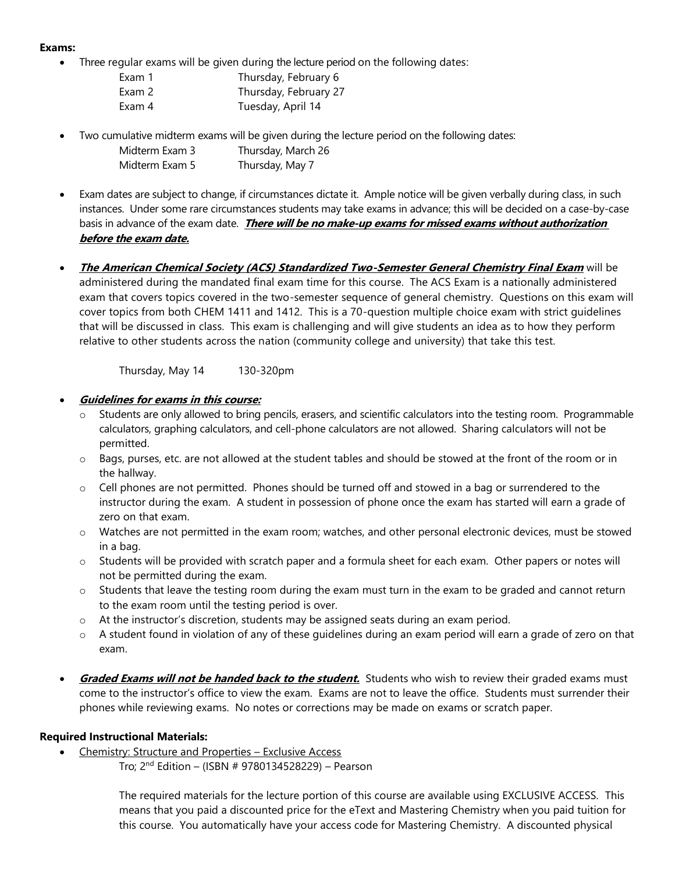## **Exams:**

- Three regular exams will be given during the lecture period on the following dates:
	- Exam 1 Thursday, February 6 Exam 2 Thursday, February 27 Exam 4 Tuesday, April 14
- Two cumulative midterm exams will be given during the lecture period on the following dates:
	- Midterm Exam 3 Thursday, March 26 Midterm Exam 5 Thursday, May 7
- Exam dates are subject to change, if circumstances dictate it. Ample notice will be given verbally during class, in such instances. Under some rare circumstances students may take exams in advance; this will be decided on a case-by-case basis in advance of the exam date. **There will be no make-up exams for missed exams without authorization before the exam date.**
- **The American Chemical Society (ACS) Standardized Two-Semester General Chemistry Final Exam** will be administered during the mandated final exam time for this course. The ACS Exam is a nationally administered exam that covers topics covered in the two-semester sequence of general chemistry. Questions on this exam will cover topics from both CHEM 1411 and 1412. This is a 70-question multiple choice exam with strict guidelines that will be discussed in class. This exam is challenging and will give students an idea as to how they perform relative to other students across the nation (community college and university) that take this test.

Thursday, May 14 130-320pm

- **Guidelines for exams in this course:**
	- Students are only allowed to bring pencils, erasers, and scientific calculators into the testing room. Programmable calculators, graphing calculators, and cell-phone calculators are not allowed. Sharing calculators will not be permitted.
	- $\circ$  Bags, purses, etc. are not allowed at the student tables and should be stowed at the front of the room or in the hallway.
	- $\circ$  Cell phones are not permitted. Phones should be turned off and stowed in a bag or surrendered to the instructor during the exam. A student in possession of phone once the exam has started will earn a grade of zero on that exam.
	- o Watches are not permitted in the exam room; watches, and other personal electronic devices, must be stowed in a bag.
	- o Students will be provided with scratch paper and a formula sheet for each exam. Other papers or notes will not be permitted during the exam.
	- $\circ$  Students that leave the testing room during the exam must turn in the exam to be graded and cannot return to the exam room until the testing period is over.
	- $\circ$  At the instructor's discretion, students may be assigned seats during an exam period.
	- $\circ$  A student found in violation of any of these guidelines during an exam period will earn a grade of zero on that exam.
- **Graded Exams will not be handed back to the student.** Students who wish to review their graded exams must come to the instructor's office to view the exam. Exams are not to leave the office. Students must surrender their phones while reviewing exams. No notes or corrections may be made on exams or scratch paper.

## **Required Instructional Materials:**

- Chemistry: Structure and Properties Exclusive Access
	- Tro; 2<sup>nd</sup> Edition (ISBN # 9780134528229) Pearson

The required materials for the lecture portion of this course are available using EXCLUSIVE ACCESS. This means that you paid a discounted price for the eText and Mastering Chemistry when you paid tuition for this course. You automatically have your access code for Mastering Chemistry. A discounted physical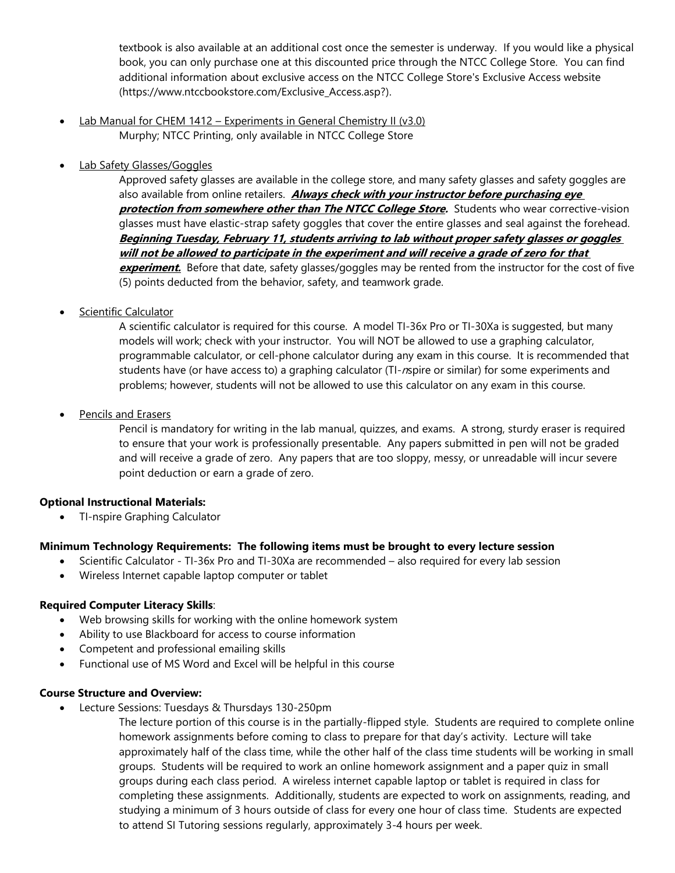textbook is also available at an additional cost once the semester is underway. If you would like a physical book, you can only purchase one at this discounted price through the NTCC College Store. You can find additional information about exclusive access on the NTCC College Store's Exclusive Access website [\(https://www.ntccbookstore.com/Exclusive\\_Access.asp?\)](https://www.ntccbookstore.com/Exclusive_Access.asp?).

- Lab Manual for CHEM 1412 Experiments in General Chemistry II (v3.0) Murphy; NTCC Printing, only available in NTCC College Store
- Lab Safety Glasses/Goggles

Approved safety glasses are available in the college store, and many safety glasses and safety goggles are also available from online retailers. **Always check with your instructor before purchasing eye protection from somewhere other than The NTCC College Store.** Students who wear corrective-vision glasses must have elastic-strap safety goggles that cover the entire glasses and seal against the forehead. **Beginning Tuesday, February 11, students arriving to lab without proper safety glasses or goggles will not be allowed to participate in the experiment and will receive a grade of zero for that experiment**. Before that date, safety glasses/goggles may be rented from the instructor for the cost of five (5) points deducted from the behavior, safety, and teamwork grade.

Scientific Calculator

A scientific calculator is required for this course. A model TI-36x Pro or TI-30Xa is suggested, but many models will work; check with your instructor. You will NOT be allowed to use a graphing calculator, programmable calculator, or cell-phone calculator during any exam in this course. It is recommended that students have (or have access to) a graphing calculator (TI-nspire or similar) for some experiments and problems; however, students will not be allowed to use this calculator on any exam in this course.

• Pencils and Erasers

Pencil is mandatory for writing in the lab manual, quizzes, and exams. A strong, sturdy eraser is required to ensure that your work is professionally presentable. Any papers submitted in pen will not be graded and will receive a grade of zero. Any papers that are too sloppy, messy, or unreadable will incur severe point deduction or earn a grade of zero.

#### **Optional Instructional Materials:**

• TI-nspire Graphing Calculator

## **Minimum Technology Requirements: The following items must be brought to every lecture session**

- Scientific Calculator TI-36x Pro and TI-30Xa are recommended also required for every lab session
- Wireless Internet capable laptop computer or tablet

## **Required Computer Literacy Skills**:

- Web browsing skills for working with the online homework system
- Ability to use Blackboard for access to course information
- Competent and professional emailing skills
- Functional use of MS Word and Excel will be helpful in this course

#### **Course Structure and Overview:**

• Lecture Sessions: Tuesdays & Thursdays 130-250pm

The lecture portion of this course is in the partially-flipped style. Students are required to complete online homework assignments before coming to class to prepare for that day's activity. Lecture will take approximately half of the class time, while the other half of the class time students will be working in small groups. Students will be required to work an online homework assignment and a paper quiz in small groups during each class period. A wireless internet capable laptop or tablet is required in class for completing these assignments. Additionally, students are expected to work on assignments, reading, and studying a minimum of 3 hours outside of class for every one hour of class time. Students are expected to attend SI Tutoring sessions regularly, approximately 3-4 hours per week.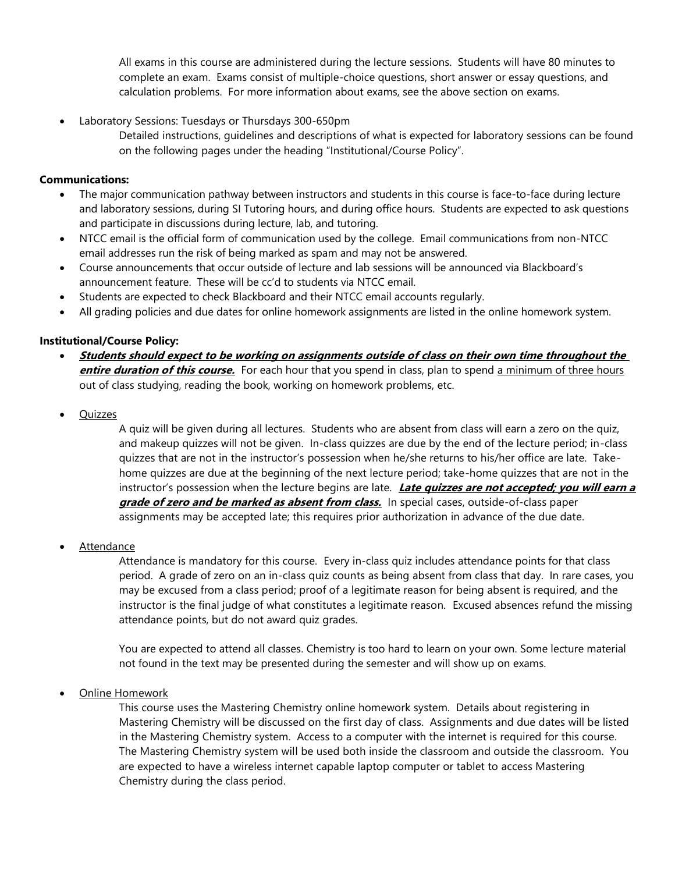All exams in this course are administered during the lecture sessions. Students will have 80 minutes to complete an exam. Exams consist of multiple-choice questions, short answer or essay questions, and calculation problems. For more information about exams, see the above section on exams.

- Laboratory Sessions: Tuesdays or Thursdays 300-650pm
	- Detailed instructions, guidelines and descriptions of what is expected for laboratory sessions can be found on the following pages under the heading "Institutional/Course Policy".

## **Communications:**

- The major communication pathway between instructors and students in this course is face-to-face during lecture and laboratory sessions, during SI Tutoring hours, and during office hours. Students are expected to ask questions and participate in discussions during lecture, lab, and tutoring.
- NTCC email is the official form of communication used by the college. Email communications from non-NTCC email addresses run the risk of being marked as spam and may not be answered.
- Course announcements that occur outside of lecture and lab sessions will be announced via Blackboard's announcement feature. These will be cc'd to students via NTCC email.
- Students are expected to check Blackboard and their NTCC email accounts regularly.
- All grading policies and due dates for online homework assignments are listed in the online homework system.

## **Institutional/Course Policy:**

- **Students should expect to be working on assignments outside of class on their own time throughout the entire duration of this course.** For each hour that you spend in class, plan to spend a minimum of three hours out of class studying, reading the book, working on homework problems, etc.
- **Quizzes**

A quiz will be given during all lectures. Students who are absent from class will earn a zero on the quiz, and makeup quizzes will not be given. In-class quizzes are due by the end of the lecture period; in-class quizzes that are not in the instructor's possession when he/she returns to his/her office are late. Takehome quizzes are due at the beginning of the next lecture period; take-home quizzes that are not in the instructor's possession when the lecture begins are late. **Late quizzes are not accepted; you will earn a grade of zero and be marked as absent from class.** In special cases, outside-of-class paper assignments may be accepted late; this requires prior authorization in advance of the due date.

**Attendance** 

Attendance is mandatory for this course. Every in-class quiz includes attendance points for that class period. A grade of zero on an in-class quiz counts as being absent from class that day. In rare cases, you may be excused from a class period; proof of a legitimate reason for being absent is required, and the instructor is the final judge of what constitutes a legitimate reason. Excused absences refund the missing attendance points, but do not award quiz grades.

You are expected to attend all classes. Chemistry is too hard to learn on your own. Some lecture material not found in the text may be presented during the semester and will show up on exams.

• Online Homework

This course uses the Mastering Chemistry online homework system. Details about registering in Mastering Chemistry will be discussed on the first day of class. Assignments and due dates will be listed in the Mastering Chemistry system. Access to a computer with the internet is required for this course. The Mastering Chemistry system will be used both inside the classroom and outside the classroom. You are expected to have a wireless internet capable laptop computer or tablet to access Mastering Chemistry during the class period.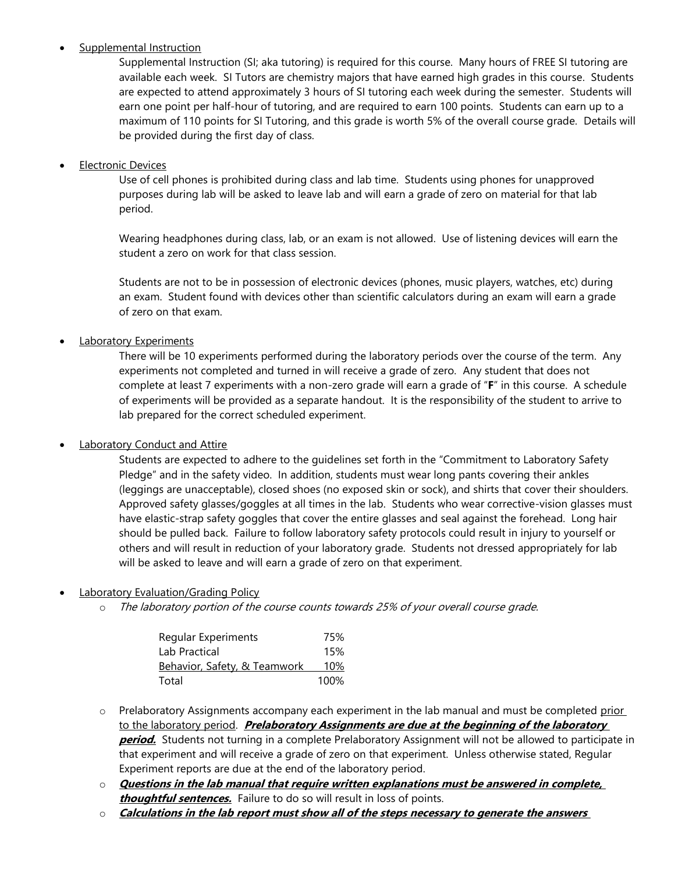## **Supplemental Instruction**

Supplemental Instruction (SI; aka tutoring) is required for this course. Many hours of FREE SI tutoring are available each week. SI Tutors are chemistry majors that have earned high grades in this course. Students are expected to attend approximately 3 hours of SI tutoring each week during the semester. Students will earn one point per half-hour of tutoring, and are required to earn 100 points. Students can earn up to a maximum of 110 points for SI Tutoring, and this grade is worth 5% of the overall course grade. Details will be provided during the first day of class.

## **Electronic Devices**

Use of cell phones is prohibited during class and lab time. Students using phones for unapproved purposes during lab will be asked to leave lab and will earn a grade of zero on material for that lab period.

Wearing headphones during class, lab, or an exam is not allowed. Use of listening devices will earn the student a zero on work for that class session.

Students are not to be in possession of electronic devices (phones, music players, watches, etc) during an exam. Student found with devices other than scientific calculators during an exam will earn a grade of zero on that exam.

Laboratory Experiments

There will be 10 experiments performed during the laboratory periods over the course of the term. Any experiments not completed and turned in will receive a grade of zero. Any student that does not complete at least 7 experiments with a non-zero grade will earn a grade of "**F**" in this course. A schedule of experiments will be provided as a separate handout. It is the responsibility of the student to arrive to lab prepared for the correct scheduled experiment.

## **Laboratory Conduct and Attire**

Students are expected to adhere to the guidelines set forth in the "Commitment to Laboratory Safety Pledge" and in the safety video. In addition, students must wear long pants covering their ankles (leggings are unacceptable), closed shoes (no exposed skin or sock), and shirts that cover their shoulders. Approved safety glasses/goggles at all times in the lab. Students who wear corrective-vision glasses must have elastic-strap safety goggles that cover the entire glasses and seal against the forehead. Long hair should be pulled back. Failure to follow laboratory safety protocols could result in injury to yourself or others and will result in reduction of your laboratory grade. Students not dressed appropriately for lab will be asked to leave and will earn a grade of zero on that experiment.

## • Laboratory Evaluation/Grading Policy

o The laboratory portion of the course counts towards 25% of your overall course grade.

| Regular Experiments          | 75%  |
|------------------------------|------|
| Lab Practical                | 15%  |
| Behavior, Safety, & Teamwork | 10%  |
| Total                        | 100% |

- $\circ$  Prelaboratory Assignments accompany each experiment in the lab manual and must be completed prior to the laboratory period. **Prelaboratory Assignments are due at the beginning of the laboratory period.** Students not turning in a complete Prelaboratory Assignment will not be allowed to participate in that experiment and will receive a grade of zero on that experiment. Unless otherwise stated, Regular Experiment reports are due at the end of the laboratory period.
- o **Questions in the lab manual that require written explanations must be answered in complete, thoughtful sentences.** Failure to do so will result in loss of points.
- o **Calculations in the lab report must show all of the steps necessary to generate the answers**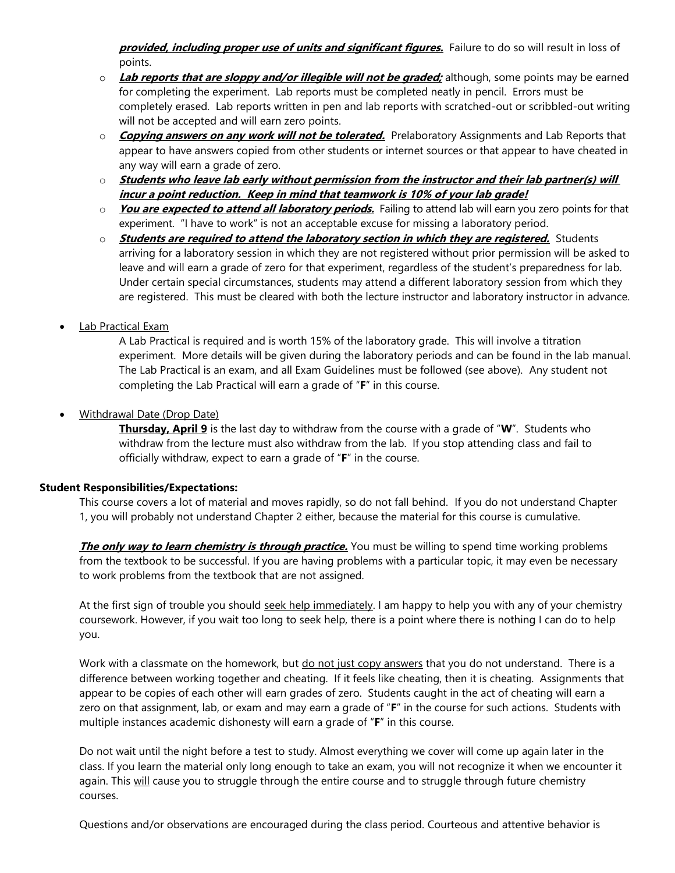**provided, including proper use of units and significant figures.** Failure to do so will result in loss of points.

- o **Lab reports that are sloppy and/or illegible will not be graded;** although, some points may be earned for completing the experiment. Lab reports must be completed neatly in pencil. Errors must be completely erased. Lab reports written in pen and lab reports with scratched-out or scribbled-out writing will not be accepted and will earn zero points.
- o **Copying answers on any work will not be tolerated.** Prelaboratory Assignments and Lab Reports that appear to have answers copied from other students or internet sources or that appear to have cheated in any way will earn a grade of zero.
- o **Students who leave lab early without permission from the instructor and their lab partner(s) will incur a point reduction. Keep in mind that teamwork is 10% of your lab grade!**
- o **You are expected to attend all laboratory periods.** Failing to attend lab will earn you zero points for that experiment. "I have to work" is not an acceptable excuse for missing a laboratory period.
- o **Students are required to attend the laboratory section in which they are registered.** Students arriving for a laboratory session in which they are not registered without prior permission will be asked to leave and will earn a grade of zero for that experiment, regardless of the student's preparedness for lab. Under certain special circumstances, students may attend a different laboratory session from which they are registered. This must be cleared with both the lecture instructor and laboratory instructor in advance.
- Lab Practical Exam

A Lab Practical is required and is worth 15% of the laboratory grade. This will involve a titration experiment. More details will be given during the laboratory periods and can be found in the lab manual. The Lab Practical is an exam, and all Exam Guidelines must be followed (see above). Any student not completing the Lab Practical will earn a grade of "**F**" in this course.

• Withdrawal Date (Drop Date)

**Thursday, April 9** is the last day to withdraw from the course with a grade of "**W**". Students who withdraw from the lecture must also withdraw from the lab. If you stop attending class and fail to officially withdraw, expect to earn a grade of "**F**" in the course.

#### **Student Responsibilities/Expectations:**

This course covers a lot of material and moves rapidly, so do not fall behind. If you do not understand Chapter 1, you will probably not understand Chapter 2 either, because the material for this course is cumulative.

**The only way to learn chemistry is through practice.** You must be willing to spend time working problems from the textbook to be successful. If you are having problems with a particular topic, it may even be necessary to work problems from the textbook that are not assigned.

At the first sign of trouble you should seek help immediately. I am happy to help you with any of your chemistry coursework. However, if you wait too long to seek help, there is a point where there is nothing I can do to help you.

Work with a classmate on the homework, but do not just copy answers that you do not understand. There is a difference between working together and cheating. If it feels like cheating, then it is cheating. Assignments that appear to be copies of each other will earn grades of zero. Students caught in the act of cheating will earn a zero on that assignment, lab, or exam and may earn a grade of "**F**" in the course for such actions. Students with multiple instances academic dishonesty will earn a grade of "**F**" in this course.

Do not wait until the night before a test to study. Almost everything we cover will come up again later in the class. If you learn the material only long enough to take an exam, you will not recognize it when we encounter it again. This will cause you to struggle through the entire course and to struggle through future chemistry courses.

Questions and/or observations are encouraged during the class period. Courteous and attentive behavior is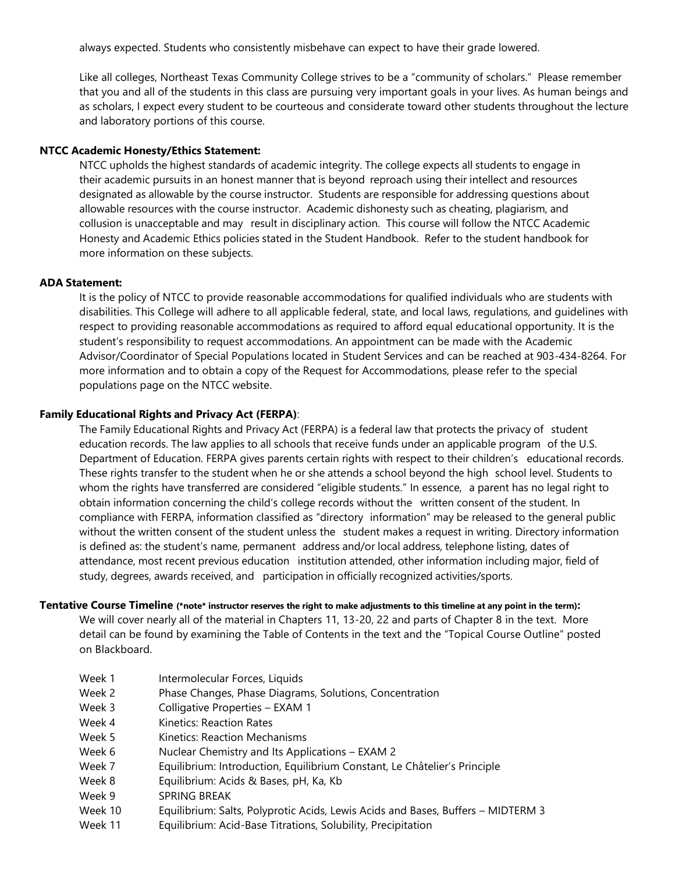always expected. Students who consistently misbehave can expect to have their grade lowered.

Like all colleges, Northeast Texas Community College strives to be a "community of scholars." Please remember that you and all of the students in this class are pursuing very important goals in your lives. As human beings and as scholars, I expect every student to be courteous and considerate toward other students throughout the lecture and laboratory portions of this course.

#### **NTCC Academic Honesty/Ethics Statement:**

NTCC upholds the highest standards of academic integrity. The college expects all students to engage in their academic pursuits in an honest manner that is beyond reproach using their intellect and resources designated as allowable by the course instructor. Students are responsible for addressing questions about allowable resources with the course instructor. Academic dishonesty such as cheating, plagiarism, and collusion is unacceptable and may result in disciplinary action. This course will follow the NTCC Academic Honesty and Academic Ethics policies stated in the Student Handbook. Refer to the student handbook for more information on these subjects.

#### **ADA Statement:**

It is the policy of NTCC to provide reasonable accommodations for qualified individuals who are students with disabilities. This College will adhere to all applicable federal, state, and local laws, regulations, and guidelines with respect to providing reasonable accommodations as required to afford equal educational opportunity. It is the student's responsibility to request accommodations. An appointment can be made with the Academic Advisor/Coordinator of Special Populations located in Student Services and can be reached at 903-434-8264. For more information and to obtain a copy of the Request for Accommodations, please refer to the special populations page on the NTCC websit[e.](http://www.ntcc.edu/index.php?module=Pagesetter&func=viewpub&tid=111&pid=1) 

#### **Family Educational Rights and Privacy Act (FERPA)**:

The Family Educational Rights and Privacy Act (FERPA) is a federal law that protects the privacy of student education records. The law applies to all schools that receive funds under an applicable program of the U.S. Department of Education. FERPA gives parents certain rights with respect to their children's educational records. These rights transfer to the student when he or she attends a school beyond the high school level. Students to whom the rights have transferred are considered "eligible students." In essence, a parent has no legal right to obtain information concerning the child's college records without the written consent of the student. In compliance with FERPA, information classified as "directory information" may be released to the general public without the written consent of the student unless the student makes a request in writing. Directory information is defined as: the student's name, permanent address and/or local address, telephone listing, dates of attendance, most recent previous education institution attended, other information including major, field of study, degrees, awards received, and participation in officially recognized activities/sports.

#### **Tentative Course Timeline (\*note\* instructor reserves the right to make adjustments to this timeline at any point in the term):**

We will cover nearly all of the material in Chapters 11, 13-20, 22 and parts of Chapter 8 in the text. More detail can be found by examining the Table of Contents in the text and the "Topical Course Outline" posted on Blackboard.

- Week 1 Intermolecular Forces, Liquids
- Week 2 Phase Changes, Phase Diagrams, Solutions, Concentration
- Week 3 Colligative Properties EXAM 1
- Week 4 Kinetics: Reaction Rates
- Week 5 Kinetics: Reaction Mechanisms
- Week 6 Nuclear Chemistry and Its Applications EXAM 2
- Week 7 Equilibrium: Introduction, Equilibrium Constant, Le Châtelier's Principle
- Week 8 Equilibrium: Acids & Bases, pH, Ka, Kb
- Week 9 SPRING BREAK
- Week 10 Equilibrium: Salts, Polyprotic Acids, Lewis Acids and Bases, Buffers MIDTERM 3
- Week 11 Equilibrium: Acid-Base Titrations, Solubility, Precipitation